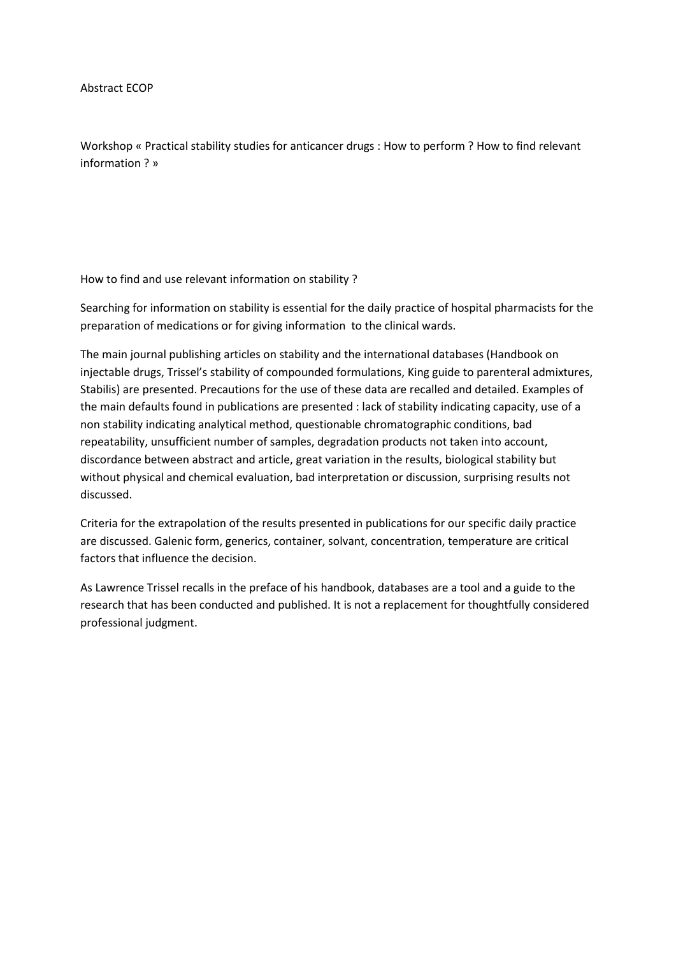Abstract ECOP

Workshop « Practical stability studies for anticancer drugs : How to perform ? How to find relevant information ? »

How to find and use relevant information on stability ?

Searching for information on stability is essential for the daily practice of hospital pharmacists for the preparation of medications or for giving information to the clinical wards.

The main journal publishing articles on stability and the international databases (Handbook on injectable drugs, Trissel's stability of compounded formulations, King guide to parenteral admixtures, Stabilis) are presented. Precautions for the use of these data are recalled and detailed. Examples of the main defaults found in publications are presented : lack of stability indicating capacity, use of a non stability indicating analytical method, questionable chromatographic conditions, bad repeatability, unsufficient number of samples, degradation products not taken into account, discordance between abstract and article, great variation in the results, biological stability but without physical and chemical evaluation, bad interpretation or discussion, surprising results not discussed.

Criteria for the extrapolation of the results presented in publications for our specific daily practice are discussed. Galenic form, generics, container, solvant, concentration, temperature are critical factors that influence the decision.

As Lawrence Trissel recalls in the preface of his handbook, databases are a tool and a guide to the research that has been conducted and published. It is not a replacement for thoughtfully considered professional judgment.